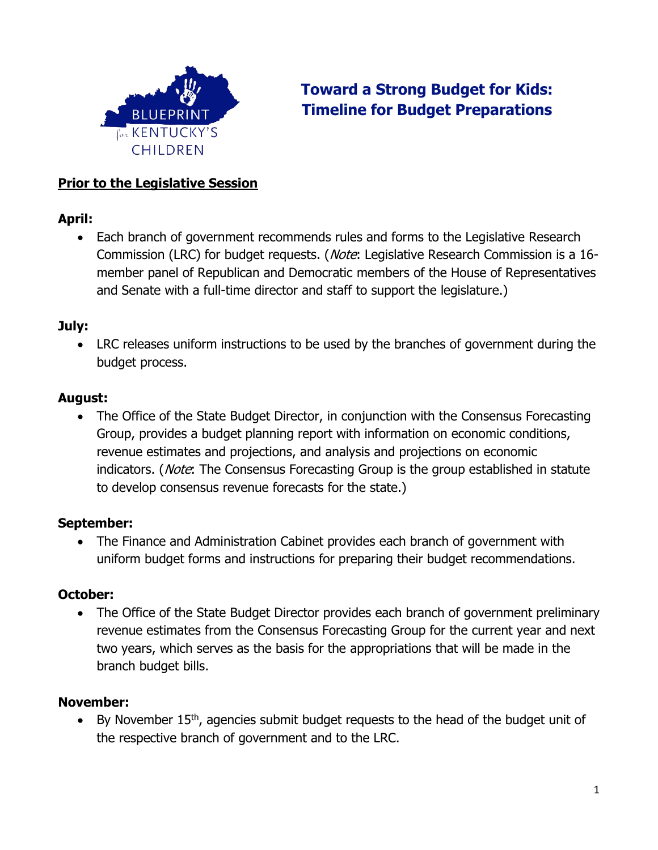

# **Toward a Strong Budget for Kids: Timeline for Budget Preparations**

#### **Prior to the Legislative Session**

#### **April:**

• Each branch of government recommends rules and forms to the Legislative Research Commission (LRC) for budget requests. (Note: Legislative Research Commission is a 16member panel of Republican and Democratic members of the House of Representatives and Senate with a full-time director and staff to support the legislature.)

#### **July:**

• LRC releases uniform instructions to be used by the branches of government during the budget process.

#### **August:**

The Office of the State Budget Director, in conjunction with the Consensus Forecasting Group, provides a budget planning report with information on economic conditions, revenue estimates and projections, and analysis and projections on economic indicators. (*Note*: The Consensus Forecasting Group is the group established in statute to develop consensus revenue forecasts for the state.)

# **September:**

• The Finance and Administration Cabinet provides each branch of government with uniform budget forms and instructions for preparing their budget recommendations.

# **October:**

• The Office of the State Budget Director provides each branch of government preliminary revenue estimates from the Consensus Forecasting Group for the current year and next two years, which serves as the basis for the appropriations that will be made in the branch budget bills.

# **November:**

• By November  $15<sup>th</sup>$ , agencies submit budget requests to the head of the budget unit of the respective branch of government and to the LRC.